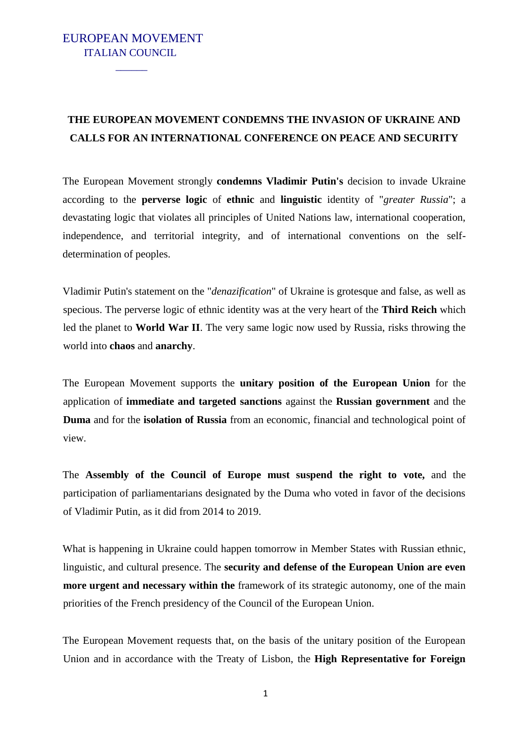## EUROPEAN MOVEMENT ITALIAN COUNCIL

 $\mathcal{L}_\text{max}$  and  $\mathcal{L}_\text{max}$ 

## **THE EUROPEAN MOVEMENT CONDEMNS THE INVASION OF UKRAINE AND CALLS FOR AN INTERNATIONAL CONFERENCE ON PEACE AND SECURITY**

The European Movement strongly **condemns Vladimir Putin's** decision to invade Ukraine according to the **perverse logic** of **ethnic** and **linguistic** identity of "*greater Russia*"; a devastating logic that violates all principles of United Nations law, international cooperation, independence, and territorial integrity, and of international conventions on the selfdetermination of peoples.

Vladimir Putin's statement on the "*denazification*" of Ukraine is grotesque and false, as well as specious. The perverse logic of ethnic identity was at the very heart of the **Third Reich** which led the planet to **World War II**. The very same logic now used by Russia, risks throwing the world into **chaos** and **anarchy**.

The European Movement supports the **unitary position of the European Union** for the application of **immediate and targeted sanctions** against the **Russian government** and the **Duma** and for the **isolation of Russia** from an economic, financial and technological point of view.

The **Assembly of the Council of Europe must suspend the right to vote,** and the participation of parliamentarians designated by the Duma who voted in favor of the decisions of Vladimir Putin, as it did from 2014 to 2019.

What is happening in Ukraine could happen tomorrow in Member States with Russian ethnic, linguistic, and cultural presence. The **security and defense of the European Union are even more urgent and necessary within the** framework of its strategic autonomy, one of the main priorities of the French presidency of the Council of the European Union.

The European Movement requests that, on the basis of the unitary position of the European Union and in accordance with the Treaty of Lisbon, the **High Representative for Foreign**